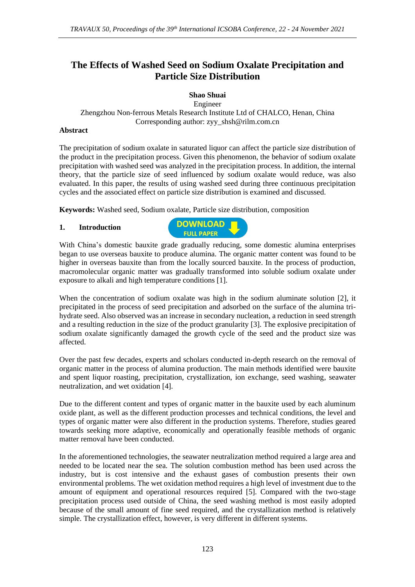# **The Effects of Washed Seed on Sodium Oxalate Precipitation and Particle Size Distribution**

### **Shao Shuai**

Engineer Zhengzhou Non-ferrous Metals Research Institute Ltd of CHALCO, Henan, China Corresponding author: zyy\_shsh@rilm.com.cn

#### **Abstract**

The precipitation of sodium oxalate in saturated liquor can affect the particle size distribution of the product in the precipitation process. Given this phenomenon, the behavior of sodium oxalate precipitation with washed seed was analyzed in the precipitation process. In addition, the internal theory, that the particle size of seed influenced by sodium oxalate would reduce, was also evaluated. In this paper, the results of using washed seed during three continuous precipitation cycles and the associated effect on particle size distribution is examined and discussed.

**Keywords:** Washed seed, Sodium oxalate, Particle size distribution, composition

#### **1. Introduction**



With China's domestic bauxite grade gradually reducing, some domestic alumina enterprises began to use overseas bauxite to produce alumina. The organic matter content was found to be higher in overseas bauxite than from the locally sourced bauxite. In the process of production, macromolecular organic matter was gradually transformed into soluble sodium oxalate under exposure to alkali and high temperature conditions [1].

When the concentration of sodium oxalate was high in the sodium aluminate solution [2], it precipitated in the process of seed precipitation and adsorbed on the surface of the alumina trihydrate seed. Also observed was an increase in secondary nucleation, a reduction in seed strength and a resulting reduction in the size of the product granularity [3]. The explosive precipitation of sodium oxalate significantly damaged the growth cycle of the seed and the product size was affected.

Over the past few decades, experts and scholars conducted in-depth research on the removal of organic matter in the process of alumina production. The main methods identified were bauxite and spent liquor roasting, precipitation, crystallization, ion exchange, seed washing, seawater neutralization, and wet oxidation [4].

Due to the different content and types of organic matter in the bauxite used by each aluminum oxide plant, as well as the different production processes and technical conditions, the level and types of organic matter were also different in the production systems. Therefore, studies geared towards seeking more adaptive, economically and operationally feasible methods of organic matter removal have been conducted.

In the aforementioned technologies, the seawater neutralization method required a large area and needed to be located near the sea. The solution combustion method has been used across the industry, but is cost intensive and the exhaust gases of combustion presents their own environmental problems. The wet oxidation method requires a high level of investment due to the amount of equipment and operational resources required [5]. Compared with the two-stage precipitation process used outside of China, the seed washing method is most easily adopted because of the small amount of fine seed required, and the crystallization method is relatively simple. The crystallization effect, however, is very different in different systems.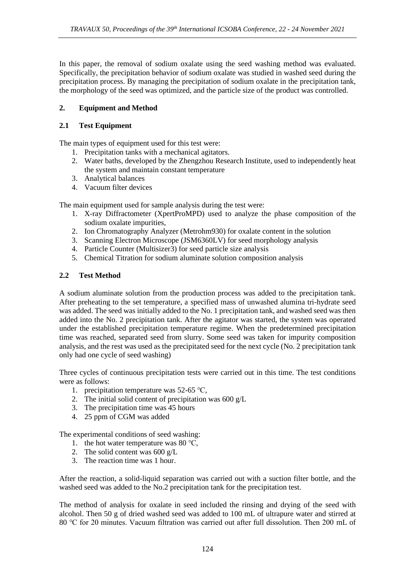In this paper, the removal of sodium oxalate using the seed washing method was evaluated. Specifically, the precipitation behavior of sodium oxalate was studied in washed seed during the precipitation process. By managing the precipitation of sodium oxalate in the precipitation tank, the morphology of the seed was optimized, and the particle size of the product was controlled.

# **2. Equipment and Method**

# **2.1 Test Equipment**

The main types of equipment used for this test were:

- 1. Precipitation tanks with a mechanical agitators.
- 2. Water baths, developed by the Zhengzhou Research Institute, used to independently heat the system and maintain constant temperature
- 3. Analytical balances
- 4. Vacuum filter devices

The main equipment used for sample analysis during the test were:

- 1. X-ray Diffractometer (XpertProMPD) used to analyze the phase composition of the sodium oxalate impurities,
- 2. Ion Chromatography Analyzer (Metrohm930) for oxalate content in the solution
- 3. Scanning Electron Microscope (JSM6360LV) for seed morphology analysis
- 4. Particle Counter (Multisizer3) for seed particle size analysis
- 5. Chemical Titration for sodium aluminate solution composition analysis

## **2.2 Test Method**

A sodium aluminate solution from the production process was added to the precipitation tank. After preheating to the set temperature, a specified mass of unwashed alumina tri-hydrate seed was added. The seed was initially added to the No. 1 precipitation tank, and washed seed was then added into the No. 2 precipitation tank. After the agitator was started, the system was operated under the established precipitation temperature regime. When the predetermined precipitation time was reached, separated seed from slurry. Some seed was taken for impurity composition analysis, and the rest was used as the precipitated seed for the next cycle (No. 2 precipitation tank only had one cycle of seed washing)

Three cycles of continuous precipitation tests were carried out in this time. The test conditions were as follows:

- 1. precipitation temperature was 52-65 ℃,
- 2. The initial solid content of precipitation was 600 g/L
- 3. The precipitation time was 45 hours
- 4. 25 ppm of CGM was added

The experimental conditions of seed washing:

- 1. the hot water temperature was 80 ℃,
- 2. The solid content was 600 g/L
- 3. The reaction time was 1 hour.

After the reaction, a solid-liquid separation was carried out with a suction filter bottle, and the washed seed was added to the No.2 precipitation tank for the precipitation test.

The method of analysis for oxalate in seed included the rinsing and drying of the seed with alcohol. Then 50 g of dried washed seed was added to 100 mL of ultrapure water and stirred at 80 ℃ for 20 minutes. Vacuum filtration was carried out after full dissolution. Then 200 mL of